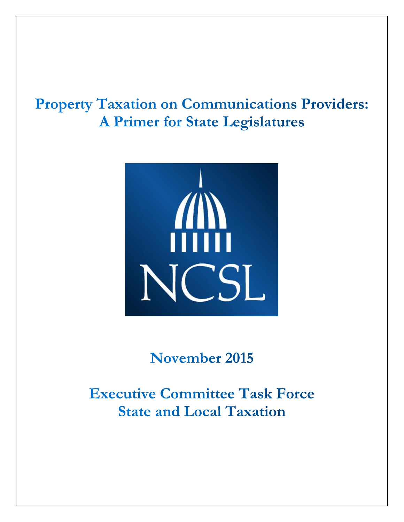# **Property Taxation on Communications Providers: A Primer for State Legislatures**



November 2015

**Executive Committee Task Force State and Local Taxation**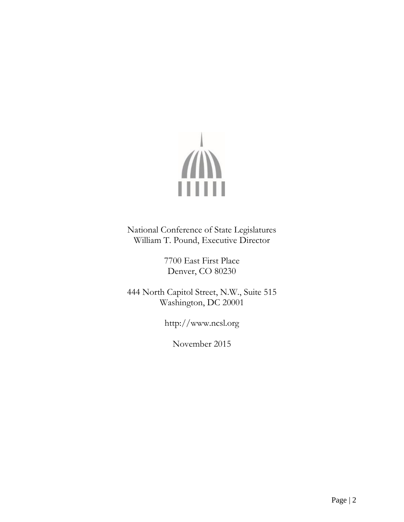

National Conference of State Legislatures William T. Pound, Executive Director

> 7700 East First Place Denver, CO 80230

444 North Capitol Street, N.W., Suite 515 Washington, DC 20001

http://www.ncsl.org

November 2015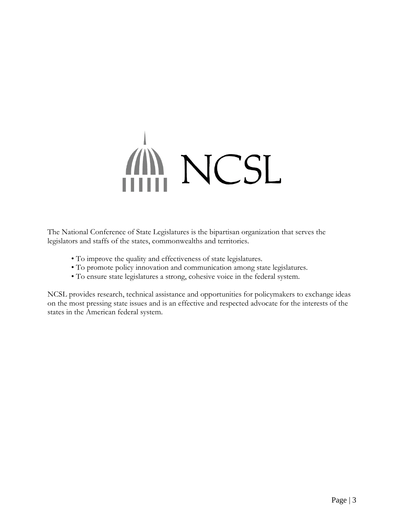# **MINNUSL**

The National Conference of State Legislatures is the bipartisan organization that serves the legislators and staffs of the states, commonwealths and territories.

- To improve the quality and effectiveness of state legislatures.
- To promote policy innovation and communication among state legislatures.
- To ensure state legislatures a strong, cohesive voice in the federal system.

NCSL provides research, technical assistance and opportunities for policymakers to exchange ideas on the most pressing state issues and is an effective and respected advocate for the interests of the states in the American federal system.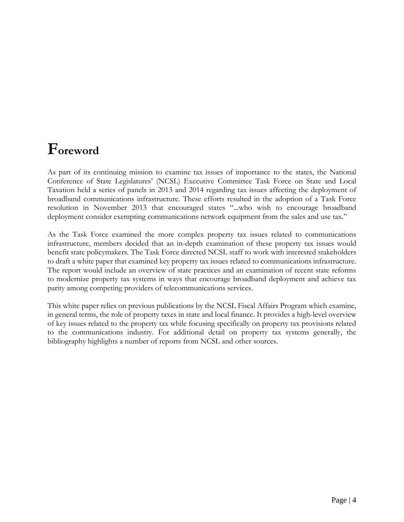# **Foreword**

As part of its continuing mission to examine tax issues of importance to the states, the National Conference of State Legislatures' (NCSL) Executive Committee Task Force on State and Local Taxation held a series of panels in 2013 and 2014 regarding tax issues affecting the deployment of broadband communications infrastructure. These efforts resulted in the adoption of a Task Force resolution in November 2013 that encouraged states "...who wish to encourage broadband deployment consider exempting communications network equipment from the sales and use tax."

As the Task Force examined the more complex property tax issues related to communications infrastructure, members decided that an in-depth examination of these property tax issues would benefit state policymakers. The Task Force directed NCSL staff to work with interested stakeholders to draft a white paper that examined key property tax issues related to communications infrastructure. The report would include an overview of state practices and an examination of recent state reforms to modernize property tax systems in ways that encourage broadband deployment and achieve tax parity among competing providers of telecommunications services.

This white paper relies on previous publications by the NCSL Fiscal Affairs Program which examine, in general terms, the role of property taxes in state and local finance. It provides a high-level overview of key issues related to the property tax while focusing specifically on property tax provisions related to the communications industry. For additional detail on property tax systems generally, the bibliography highlights a number of reports from NCSL and other sources.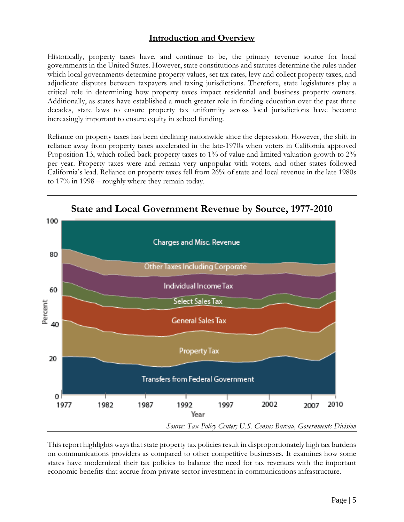## **Introduction and Overview**

Historically, property taxes have, and continue to be, the primary revenue source for local governments in the United States. However, state constitutions and statutes determine the rules under which local governments determine property values, set tax rates, levy and collect property taxes, and adjudicate disputes between taxpayers and taxing jurisdictions. Therefore, state legislatures play a critical role in determining how property taxes impact residential and business property owners. Additionally, as states have established a much greater role in funding education over the past three decades, state laws to ensure property tax uniformity across local jurisdictions have become increasingly important to ensure equity in school funding.

Reliance on property taxes has been declining nationwide since the depression. However, the shift in reliance away from property taxes accelerated in the late-1970s when voters in California approved Proposition 13, which rolled back property taxes to 1% of value and limited valuation growth to 2% per year. Property taxes were and remain very unpopular with voters, and other states followed California's lead. Reliance on property taxes fell from 26% of state and local revenue in the late 1980s to 17% in 1998 – roughly where they remain today.



This report highlights ways that state property tax policies result in disproportionately high tax burdens on communications providers as compared to other competitive businesses. It examines how some states have modernized their tax policies to balance the need for tax revenues with the important economic benefits that accrue from private sector investment in communications infrastructure.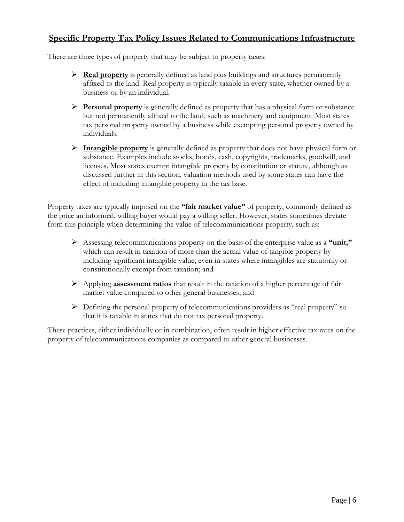## **Specific Property Tax Policy Issues Related to Communications Infrastructure**

There are three types of property that may be subject to property taxes:

- $\triangleright$  **Real property** is generally defined as land plus buildings and structures permanently affixed to the land. Real property is typically taxable in every state, whether owned by a business or by an individual.
- **Personal property** is generally defined as property that has a physical form or substance but not permanently affixed to the land, such as machinery and equipment. Most states tax personal property owned by a business while exempting personal property owned by individuals.
- **Intangible property** is generally defined as property that does not have physical form or substance. Examples include stocks, bonds, cash, copyrights, trademarks, goodwill, and licenses. Most states exempt intangible property by constitution or statute, although as discussed further in this section, valuation methods used by some states can have the effect of including intangible property in the tax base.

Property taxes are typically imposed on the **"fair market value"** of property, commonly defined as the price an informed, willing buyer would pay a willing seller. However, states sometimes deviate from this principle when determining the value of telecommunications property, such as:

- Assessing telecommunications property on the basis of the enterprise value as a **"unit,"** which can result in taxation of more than the actual value of tangible property by including significant intangible value, even in states where intangibles are statutorily or constitutionally exempt from taxation; and
- Applying **assessment ratios** that result in the taxation of a higher percentage of fair market value compared to other general businesses; and
- Defining the personal property of telecommunications providers as "real property" so that it is taxable in states that do not tax personal property.

These practices, either individually or in combination, often result in higher effective tax rates on the property of telecommunications companies as compared to other general businesses.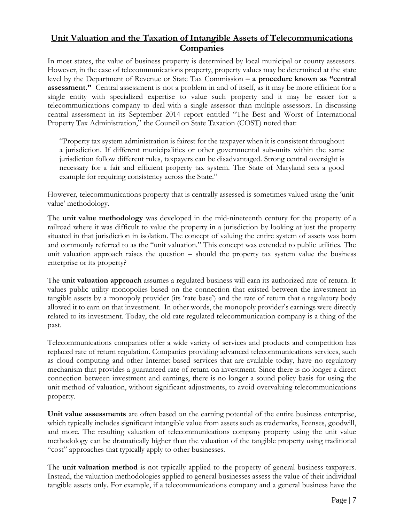# **Unit Valuation and the Taxation of Intangible Assets of Telecommunications Companies**

In most states, the value of business property is determined by local municipal or county assessors. However, in the case of telecommunications property, property values may be determined at the state level by the Department of Revenue or State Tax Commission **– a procedure known as "central assessment."** Central assessment is not a problem in and of itself, as it may be more efficient for a single entity with specialized expertise to value such property and it may be easier for a telecommunications company to deal with a single assessor than multiple assessors. In discussing central assessment in its September 2014 report entitled "The Best and Worst of International Property Tax Administration," the Council on State Taxation (COST) noted that:

"Property tax system administration is fairest for the taxpayer when it is consistent throughout a jurisdiction. If different municipalities or other governmental sub-units within the same jurisdiction follow different rules, taxpayers can be disadvantaged. Strong central oversight is necessary for a fair and efficient property tax system. The State of Maryland sets a good example for requiring consistency across the State."

However, telecommunications property that is centrally assessed is sometimes valued using the 'unit value' methodology.

The **unit value methodology** was developed in the mid-nineteenth century for the property of a railroad where it was difficult to value the property in a jurisdiction by looking at just the property situated in that jurisdiction in isolation. The concept of valuing the entire system of assets was born and commonly referred to as the "unit valuation." This concept was extended to public utilities. The unit valuation approach raises the question – should the property tax system value the business enterprise or its property?

The **unit valuation approach** assumes a regulated business will earn its authorized rate of return. It values public utility monopolies based on the connection that existed between the investment in tangible assets by a monopoly provider (its 'rate base') and the rate of return that a regulatory body allowed it to earn on that investment. In other words, the monopoly provider's earnings were directly related to its investment. Today, the old rate regulated telecommunication company is a thing of the past.

Telecommunications companies offer a wide variety of services and products and competition has replaced rate of return regulation. Companies providing advanced telecommunications services, such as cloud computing and other Internet-based services that are available today, have no regulatory mechanism that provides a guaranteed rate of return on investment. Since there is no longer a direct connection between investment and earnings, there is no longer a sound policy basis for using the unit method of valuation, without significant adjustments, to avoid overvaluing telecommunications property.

**Unit value assessments** are often based on the earning potential of the entire business enterprise, which typically includes significant intangible value from assets such as trademarks, licenses, goodwill, and more. The resulting valuation of telecommunications company property using the unit value methodology can be dramatically higher than the valuation of the tangible property using traditional "cost" approaches that typically apply to other businesses.

The **unit valuation method** is not typically applied to the property of general business taxpayers. Instead, the valuation methodologies applied to general businesses assess the value of their individual tangible assets only. For example, if a telecommunications company and a general business have the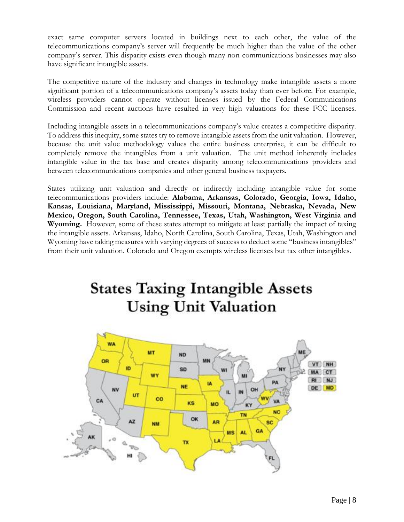exact same computer servers located in buildings next to each other, the value of the telecommunications company's server will frequently be much higher than the value of the other company's server. This disparity exists even though many non-communications businesses may also have significant intangible assets.

The competitive nature of the industry and changes in technology make intangible assets a more significant portion of a telecommunications company's assets today than ever before. For example, wireless providers cannot operate without licenses issued by the Federal Communications Commission and recent auctions have resulted in very high valuations for these FCC licenses.

Including intangible assets in a telecommunications company's value creates a competitive disparity. To address this inequity, some states try to remove intangible assets from the unit valuation. However, because the unit value methodology values the entire business enterprise, it can be difficult to completely remove the intangibles from a unit valuation. The unit method inherently includes intangible value in the tax base and creates disparity among telecommunications providers and between telecommunications companies and other general business taxpayers.

States utilizing unit valuation and directly or indirectly including intangible value for some telecommunications providers include: **Alabama, Arkansas, Colorado, Georgia, Iowa, Idaho, Kansas, Louisiana, Maryland, Mississippi, Missouri, Montana, Nebraska, Nevada, New Mexico, Oregon, South Carolina, Tennessee, Texas, Utah, Washington, West Virginia and Wyoming.** However, some of these states attempt to mitigate at least partially the impact of taxing the intangible assets. Arkansas, Idaho, North Carolina, South Carolina, Texas, Utah, Washington and Wyoming have taking measures with varying degrees of success to deduct some "business intangibles" from their unit valuation. Colorado and Oregon exempts wireless licenses but tax other intangibles.

# **States Taxing Intangible Assets Using Unit Valuation**

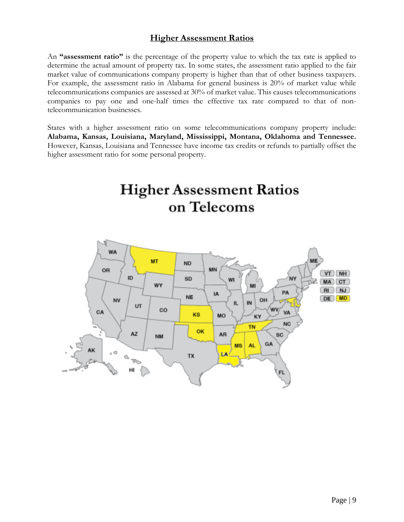## **Higher Assessment Ratios**

An **"assessment ratio"** is the percentage of the property value to which the tax rate is applied to determine the actual amount of property tax. In some states, the assessment ratio applied to the fair market value of communications company property is higher than that of other business taxpayers. For example, the assessment ratio in Alabama for general business is 20% of market value while telecommunications companies are assessed at 30% of market value. This causes telecommunications companies to pay one and one-half times the effective tax rate compared to that of nontelecommunication businesses.

States with a higher assessment ratio on some telecommunications company property include: **Alabama, Kansas, Louisiana, Maryland, Mississippi, Montana, Oklahoma and Tennessee.** However, Kansas, Louisiana and Tennessee have income tax credits or refunds to partially offset the higher assessment ratio for some personal property.

**Higher Assessment Ratios** 

on Telecoms

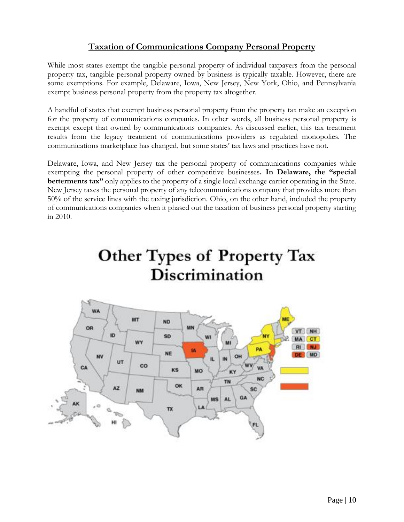# **Taxation of Communications Company Personal Property**

While most states exempt the tangible personal property of individual taxpayers from the personal property tax, tangible personal property owned by business is typically taxable. However, there are some exemptions. For example, Delaware, Iowa, New Jersey, New York, Ohio, and Pennsylvania exempt business personal property from the property tax altogether.

A handful of states that exempt business personal property from the property tax make an exception for the property of communications companies. In other words, all business personal property is exempt except that owned by communications companies. As discussed earlier, this tax treatment results from the legacy treatment of communications providers as regulated monopolies. The communications marketplace has changed, but some states' tax laws and practices have not.

Delaware, Iowa, and New Jersey tax the personal property of communications companies while exempting the personal property of other competitive businesses**. In Delaware, the "special betterments tax"** only applies to the property of a single local exchange carrier operating in the State. New Jersey taxes the personal property of any telecommunications company that provides more than 50% of the service lines with the taxing jurisdiction. Ohio, on the other hand, included the property of communications companies when it phased out the taxation of business personal property starting in 2010.



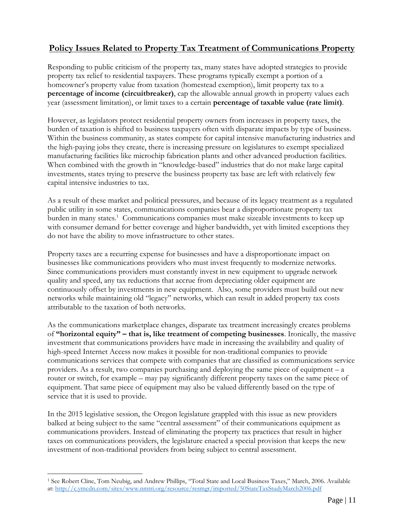# **Policy Issues Related to Property Tax Treatment of Communications Property**

Responding to public criticism of the property tax, many states have adopted strategies to provide property tax relief to residential taxpayers. These programs typically exempt a portion of a homeowner's property value from taxation (homestead exemption), limit property tax to a **percentage of income (circuitbreaker)**, cap the allowable annual growth in property values each year (assessment limitation), or limit taxes to a certain **percentage of taxable value (rate limit)**.

However, as legislators protect residential property owners from increases in property taxes, the burden of taxation is shifted to business taxpayers often with disparate impacts by type of business. Within the business community, as states compete for capital intensive manufacturing industries and the high-paying jobs they create, there is increasing pressure on legislatures to exempt specialized manufacturing facilities like microchip fabrication plants and other advanced production facilities. When combined with the growth in "knowledge-based" industries that do not make large capital investments, states trying to preserve the business property tax base are left with relatively few capital intensive industries to tax.

As a result of these market and political pressures, and because of its legacy treatment as a regulated public utility in some states, communications companies bear a disproportionate property tax burden in many states.<sup>1</sup> Communications companies must make sizeable investments to keep up with consumer demand for better coverage and higher bandwidth, yet with limited exceptions they do not have the ability to move infrastructure to other states.

Property taxes are a recurring expense for businesses and have a disproportionate impact on businesses like communications providers who must invest frequently to modernize networks. Since communications providers must constantly invest in new equipment to upgrade network quality and speed, any tax reductions that accrue from depreciating older equipment are continuously offset by investments in new equipment. Also, some providers must build out new networks while maintaining old "legacy" networks, which can result in added property tax costs attributable to the taxation of both networks.

As the communications marketplace changes, disparate tax treatment increasingly creates problems of **"horizontal equity" – that is, like treatment of competing businesses**. Ironically, the massive investment that communications providers have made in increasing the availability and quality of high-speed Internet Access now makes it possible for non-traditional companies to provide communications services that compete with companies that are classified as communications service providers. As a result, two companies purchasing and deploying the same piece of equipment – a router or switch, for example – may pay significantly different property taxes on the same piece of equipment. That same piece of equipment may also be valued differently based on the type of service that it is used to provide.

In the 2015 legislative session, the Oregon legislature grappled with this issue as new providers balked at being subject to the same "central assessment" of their communications equipment as communications providers. Instead of eliminating the property tax practices that result in higher taxes on communications providers, the legislature enacted a special provision that keeps the new investment of non-traditional providers from being subject to central assessment.

 $\overline{a}$ 

<sup>1</sup> See Robert Cline, Tom Neubig, and Andrew Phillips, "Total State and Local Business Taxes," March, 2006. Available at[: http://c.ymcdn.com/sites/www.nmtri.org/resource/resmgr/imported/50StateTaxStudyMarch2006.pdf](http://c.ymcdn.com/sites/www.nmtri.org/resource/resmgr/imported/50StateTaxStudyMarch2006.pdf)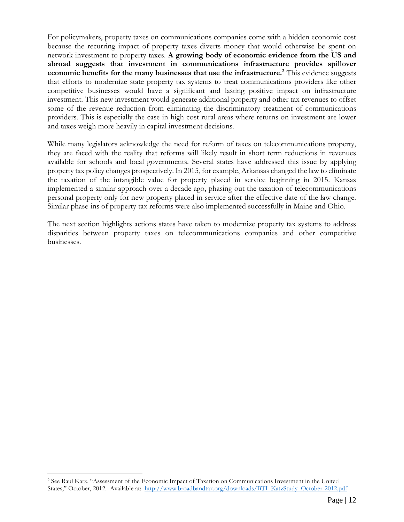For policymakers, property taxes on communications companies come with a hidden economic cost because the recurring impact of property taxes diverts money that would otherwise be spent on network investment to property taxes. **A growing body of economic evidence from the US and abroad suggests that investment in communications infrastructure provides spillover economic benefits for the many businesses that use the infrastructure.<sup>2</sup>** This evidence suggests that efforts to modernize state property tax systems to treat communications providers like other competitive businesses would have a significant and lasting positive impact on infrastructure investment. This new investment would generate additional property and other tax revenues to offset some of the revenue reduction from eliminating the discriminatory treatment of communications providers. This is especially the case in high cost rural areas where returns on investment are lower and taxes weigh more heavily in capital investment decisions.

While many legislators acknowledge the need for reform of taxes on telecommunications property, they are faced with the reality that reforms will likely result in short term reductions in revenues available for schools and local governments. Several states have addressed this issue by applying property tax policy changes prospectively. In 2015, for example, Arkansas changed the law to eliminate the taxation of the intangible value for property placed in service beginning in 2015. Kansas implemented a similar approach over a decade ago, phasing out the taxation of telecommunications personal property only for new property placed in service after the effective date of the law change. Similar phase-ins of property tax reforms were also implemented successfully in Maine and Ohio.

The next section highlights actions states have taken to modernize property tax systems to address disparities between property taxes on telecommunications companies and other competitive businesses.

 $\overline{a}$ 

<sup>2</sup> See Raul Katz, "Assessment of the Economic Impact of Taxation on Communications Investment in the United States," October, 2012. Available at: [http://www.broadbandtax.org/downloads/BTI\\_KatzStudy\\_October-2012.pdf](http://www.broadbandtax.org/downloads/BTI_KatzStudy_October-2012.pdf)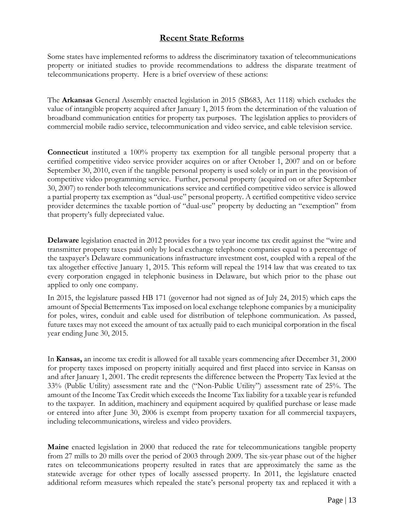## **Recent State Reforms**

Some states have implemented reforms to address the discriminatory taxation of telecommunications property or initiated studies to provide recommendations to address the disparate treatment of telecommunications property. Here is a brief overview of these actions:

The **Arkansas** General Assembly enacted legislation in 2015 (SB683, Act 1118) which excludes the value of intangible property acquired after January 1, 2015 from the determination of the valuation of broadband communication entities for property tax purposes. The legislation applies to providers of commercial mobile radio service, telecommunication and video service, and cable television service.

**Connecticut** instituted a 100% property tax exemption for all tangible personal property that a certified competitive video service provider acquires on or after October 1, 2007 and on or before September 30, 2010, even if the tangible personal property is used solely or in part in the provision of competitive video programming service. Further, personal property (acquired on or after September 30, 2007) to render both telecommunications service and certified competitive video service is allowed a partial property tax exemption as "dual-use" personal property. A certified competitive video service provider determines the taxable portion of "dual-use" property by deducting an "exemption" from that property's fully depreciated value.

**Delaware** legislation enacted in 2012 provides for a two year income tax credit against the "wire and transmitter property taxes paid only by local exchange telephone companies equal to a percentage of the taxpayer's Delaware communications infrastructure investment cost, coupled with a repeal of the tax altogether effective January 1, 2015. This reform will repeal the 1914 law that was created to tax every corporation engaged in telephonic business in Delaware, but which prior to the phase out applied to only one company.

In 2015, the legislature passed HB 171 (governor had not signed as of July 24, 2015) which caps the amount of Special Betterments Tax imposed on local exchange telephone companies by a municipality for poles, wires, conduit and cable used for distribution of telephone communication. As passed, future taxes may not exceed the amount of tax actually paid to each municipal corporation in the fiscal year ending June 30, 2015.

In **Kansas,** an income tax credit is allowed for all taxable years commencing after December 31, 2000 for property taxes imposed on property initially acquired and first placed into service in Kansas on and after January 1, 2001. The credit represents the difference between the Property Tax levied at the 33% (Public Utility) assessment rate and the ("Non-Public Utility") assessment rate of 25%. The amount of the Income Tax Credit which exceeds the Income Tax liability for a taxable year is refunded to the taxpayer. In addition, machinery and equipment acquired by qualified purchase or lease made or entered into after June 30, 2006 is exempt from property taxation for all commercial taxpayers, including telecommunications, wireless and video providers.

**Maine** enacted legislation in 2000 that reduced the rate for telecommunications tangible property from 27 mills to 20 mills over the period of 2003 through 2009. The six-year phase out of the higher rates on telecommunications property resulted in rates that are approximately the same as the statewide average for other types of locally assessed property. In 2011, the legislature enacted additional reform measures which repealed the state's personal property tax and replaced it with a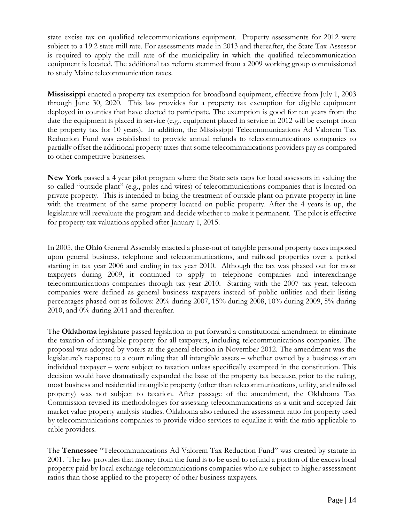state excise tax on qualified telecommunications equipment. Property assessments for 2012 were subject to a 19.2 state mill rate. For assessments made in 2013 and thereafter, the State Tax Assessor is required to apply the mill rate of the municipality in which the qualified telecommunication equipment is located. The additional tax reform stemmed from a 2009 working group commissioned to study Maine telecommunication taxes.

**Mississippi** enacted a property tax exemption for broadband equipment, effective from July 1, 2003 through June 30, 2020. This law provides for a property tax exemption for eligible equipment deployed in counties that have elected to participate. The exemption is good for ten years from the date the equipment is placed in service (e.g., equipment placed in service in 2012 will be exempt from the property tax for 10 years). In addition, the Mississippi Telecommunications Ad Valorem Tax Reduction Fund was established to provide annual refunds to telecommunications companies to partially offset the additional property taxes that some telecommunications providers pay as compared to other competitive businesses.

**New York** passed a 4 year pilot program where the State sets caps for local assessors in valuing the so-called "outside plant" (e.g., poles and wires) of telecommunications companies that is located on private property. This is intended to bring the treatment of outside plant on private property in line with the treatment of the same property located on public property. After the 4 years is up, the legislature will reevaluate the program and decide whether to make it permanent. The pilot is effective for property tax valuations applied after January 1, 2015.

In 2005, the **Ohio** General Assembly enacted a phase-out of tangible personal property taxes imposed upon general business, telephone and telecommunications, and railroad properties over a period starting in tax year 2006 and ending in tax year 2010. Although the tax was phased out for most taxpayers during 2009, it continued to apply to telephone companies and interexchange telecommunications companies through tax year 2010. Starting with the 2007 tax year, telecom companies were defined as general business taxpayers instead of public utilities and their listing percentages phased-out as follows: 20% during 2007, 15% during 2008, 10% during 2009, 5% during 2010, and 0% during 2011 and thereafter.

The **Oklahoma** legislature passed legislation to put forward a constitutional amendment to eliminate the taxation of intangible property for all taxpayers, including telecommunications companies. The proposal was adopted by voters at the general election in November 2012. The amendment was the legislature's response to a court ruling that all intangible assets – whether owned by a business or an individual taxpayer – were subject to taxation unless specifically exempted in the constitution. This decision would have dramatically expanded the base of the property tax because, prior to the ruling, most business and residential intangible property (other than telecommunications, utility, and railroad property) was not subject to taxation. After passage of the amendment, the Oklahoma Tax Commission revised its methodologies for assessing telecommunications as a unit and accepted fair market value property analysis studies. Oklahoma also reduced the assessment ratio for property used by telecommunications companies to provide video services to equalize it with the ratio applicable to cable providers.

The **Tennessee** "Telecommunications Ad Valorem Tax Reduction Fund" was created by statute in 2001. The law provides that money from the fund is to be used to refund a portion of the excess local property paid by local exchange telecommunications companies who are subject to higher assessment ratios than those applied to the property of other business taxpayers.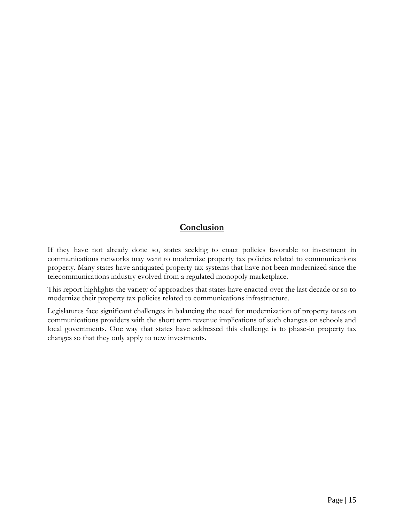# **Conclusion**

If they have not already done so, states seeking to enact policies favorable to investment in communications networks may want to modernize property tax policies related to communications property. Many states have antiquated property tax systems that have not been modernized since the telecommunications industry evolved from a regulated monopoly marketplace.

This report highlights the variety of approaches that states have enacted over the last decade or so to modernize their property tax policies related to communications infrastructure.

Legislatures face significant challenges in balancing the need for modernization of property taxes on communications providers with the short term revenue implications of such changes on schools and local governments. One way that states have addressed this challenge is to phase-in property tax changes so that they only apply to new investments.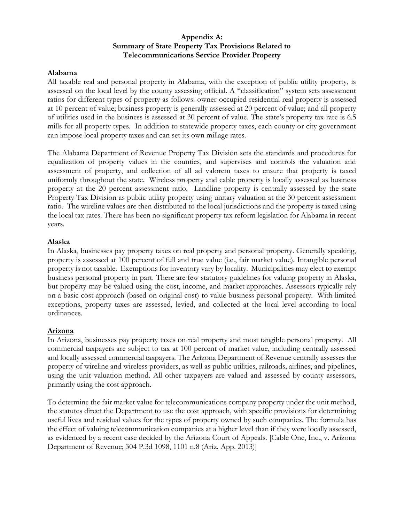#### **Appendix A: Summary of State Property Tax Provisions Related to Telecommunications Service Provider Property**

#### **Alabama**

All taxable real and personal property in Alabama, with the exception of public utility property, is assessed on the local level by the county assessing official. A "classification" system sets assessment ratios for different types of property as follows: owner-occupied residential real property is assessed at 10 percent of value; business property is generally assessed at 20 percent of value; and all property of utilities used in the business is assessed at 30 percent of value. The state's property tax rate is 6.5 mills for all property types. In addition to statewide property taxes, each county or city government can impose local property taxes and can set its own millage rates.

The Alabama Department of Revenue Property Tax Division sets the standards and procedures for equalization of property values in the counties, and supervises and controls the valuation and assessment of property, and collection of all ad valorem taxes to ensure that property is taxed uniformly throughout the state. Wireless property and cable property is locally assessed as business property at the 20 percent assessment ratio. Landline property is centrally assessed by the state Property Tax Division as public utility property using unitary valuation at the 30 percent assessment ratio. The wireline values are then distributed to the local jurisdictions and the property is taxed using the local tax rates. There has been no significant property tax reform legislation for Alabama in recent years.

#### **Alaska**

In Alaska, businesses pay property taxes on real property and personal property. Generally speaking, property is assessed at 100 percent of full and true value (i.e., fair market value). Intangible personal property is not taxable. Exemptions for inventory vary by locality. Municipalities may elect to exempt business personal property in part. There are few statutory guidelines for valuing property in Alaska, but property may be valued using the cost, income, and market approaches. Assessors typically rely on a basic cost approach (based on original cost) to value business personal property. With limited exceptions, property taxes are assessed, levied, and collected at the local level according to local ordinances.

#### **Arizona**

In Arizona, businesses pay property taxes on real property and most tangible personal property. All commercial taxpayers are subject to tax at 100 percent of market value, including centrally assessed and locally assessed commercial taxpayers. The Arizona Department of Revenue centrally assesses the property of wireline and wireless providers, as well as public utilities, railroads, airlines, and pipelines, using the unit valuation method. All other taxpayers are valued and assessed by county assessors, primarily using the cost approach.

To determine the fair market value for telecommunications company property under the unit method, the statutes direct the Department to use the cost approach, with specific provisions for determining useful lives and residual values for the types of property owned by such companies. The formula has the effect of valuing telecommunication companies at a higher level than if they were locally assessed, as evidenced by a recent case decided by the Arizona Court of Appeals. [Cable One, Inc., v. Arizona Department of Revenue; 304 P.3d 1098, 1101 n.8 (Ariz. App. 2013)]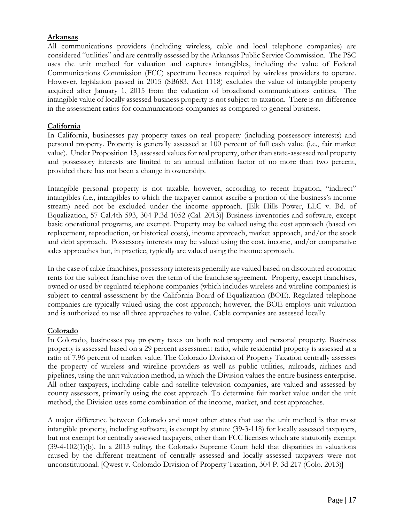#### **Arkansas**

All communications providers (including wireless, cable and local telephone companies) are considered "utilities" and are centrally assessed by the Arkansas Public Service Commission. The PSC uses the unit method for valuation and captures intangibles, including the value of Federal Communications Commission (FCC) spectrum licenses required by wireless providers to operate. However, legislation passed in 2015 (SB683, Act 1118) excludes the value of intangible property acquired after January 1, 2015 from the valuation of broadband communications entities. The intangible value of locally assessed business property is not subject to taxation. There is no difference in the assessment ratios for communications companies as compared to general business.

#### **California**

In California, businesses pay property taxes on real property (including possessory interests) and personal property. Property is generally assessed at 100 percent of full cash value (i.e., fair market value). Under Proposition 13, assessed values for real property, other than state-assessed real property and possessory interests are limited to an annual inflation factor of no more than two percent, provided there has not been a change in ownership.

Intangible personal property is not taxable, however, according to recent litigation, "indirect" intangibles (i.e., intangibles to which the taxpayer cannot ascribe a portion of the business's income stream) need not be excluded under the income approach. [Elk Hills Power, LLC v. Bd. of Equalization, 57 Cal.4th 593, 304 P.3d 1052 (Cal. 2013)] Business inventories and software, except basic operational programs, are exempt. Property may be valued using the cost approach (based on replacement, reproduction, or historical costs), income approach, market approach, and/or the stock and debt approach. Possessory interests may be valued using the cost, income, and/or comparative sales approaches but, in practice, typically are valued using the income approach.

In the case of cable franchises, possessory interests generally are valued based on discounted economic rents for the subject franchise over the term of the franchise agreement. Property, except franchises, owned or used by regulated telephone companies (which includes wireless and wireline companies) is subject to central assessment by the California Board of Equalization (BOE). Regulated telephone companies are typically valued using the cost approach; however, the BOE employs unit valuation and is authorized to use all three approaches to value. Cable companies are assessed locally.

#### **Colorado**

In Colorado, businesses pay property taxes on both real property and personal property. Business property is assessed based on a 29 percent assessment ratio, while residential property is assessed at a ratio of 7.96 percent of market value. The Colorado Division of Property Taxation centrally assesses the property of wireless and wireline providers as well as public utilities, railroads, airlines and pipelines, using the unit valuation method, in which the Division values the entire business enterprise. All other taxpayers, including cable and satellite television companies, are valued and assessed by county assessors, primarily using the cost approach. To determine fair market value under the unit method, the Division uses some combination of the income, market, and cost approaches.

A major difference between Colorado and most other states that use the unit method is that most intangible property, including software, is exempt by statute (39-3-118) for locally assessed taxpayers, but not exempt for centrally assessed taxpayers, other than FCC licenses which are statutorily exempt (39-4-102(1)(b). In a 2013 ruling, the Colorado Supreme Court held that disparities in valuations caused by the different treatment of centrally assessed and locally assessed taxpayers were not unconstitutional. [Qwest v. Colorado Division of Property Taxation, 304 P. 3d 217 (Colo. 2013)]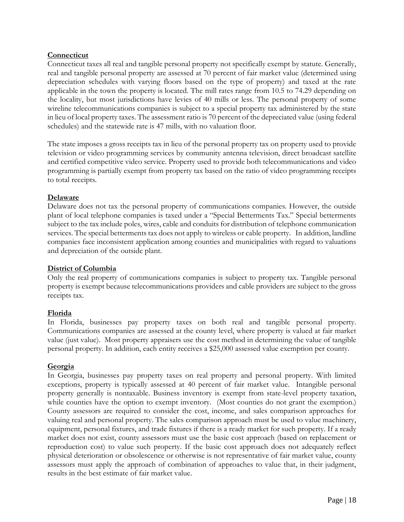#### **Connecticut**

Connecticut taxes all real and tangible personal property not specifically exempt by statute. Generally, real and tangible personal property are assessed at 70 percent of fair market value (determined using depreciation schedules with varying floors based on the type of property) and taxed at the rate applicable in the town the property is located. The mill rates range from 10.5 to 74.29 depending on the locality, but most jurisdictions have levies of 40 mills or less. The personal property of some wireline telecommunications companies is subject to a special property tax administered by the state in lieu of local property taxes. The assessment ratio is 70 percent of the depreciated value (using federal schedules) and the statewide rate is 47 mills, with no valuation floor.

The state imposes a gross receipts tax in lieu of the personal property tax on property used to provide television or video programming services by community antenna television, direct broadcast satellite and certified competitive video service. Property used to provide both telecommunications and video programming is partially exempt from property tax based on the ratio of video programming receipts to total receipts.

#### **Delaware**

Delaware does not tax the personal property of communications companies. However, the outside plant of local telephone companies is taxed under a "Special Betterments Tax." Special betterments subject to the tax include poles, wires, cable and conduits for distribution of telephone communication services. The special betterments tax does not apply to wireless or cable property. In addition, landline companies face inconsistent application among counties and municipalities with regard to valuations and depreciation of the outside plant.

#### **District of Columbia**

Only the real property of communications companies is subject to property tax. Tangible personal property is exempt because telecommunications providers and cable providers are subject to the gross receipts tax.

#### **Florida**

In Florida, businesses pay property taxes on both real and tangible personal property. Communications companies are assessed at the county level, where property is valued at fair market value (just value). Most property appraisers use the cost method in determining the value of tangible personal property. In addition, each entity receives a \$25,000 assessed value exemption per county.

#### **Georgia**

In Georgia, businesses pay property taxes on real property and personal property. With limited exceptions, property is typically assessed at 40 percent of fair market value. Intangible personal property generally is nontaxable. Business inventory is exempt from state-level property taxation, while counties have the option to exempt inventory. (Most counties do not grant the exemption.) County assessors are required to consider the cost, income, and sales comparison approaches for valuing real and personal property. The sales comparison approach must be used to value machinery, equipment, personal fixtures, and trade fixtures if there is a ready market for such property. If a ready market does not exist, county assessors must use the basic cost approach (based on replacement or reproduction cost) to value such property. If the basic cost approach does not adequately reflect physical deterioration or obsolescence or otherwise is not representative of fair market value, county assessors must apply the approach of combination of approaches to value that, in their judgment, results in the best estimate of fair market value.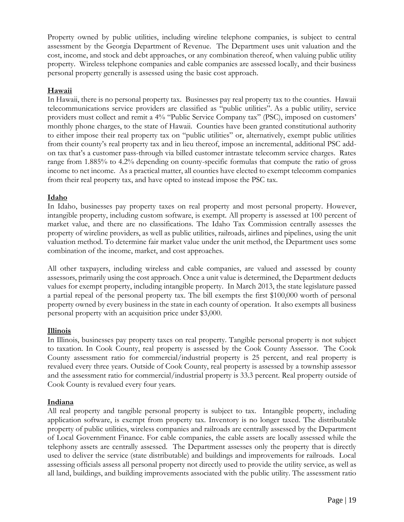Property owned by public utilities, including wireline telephone companies, is subject to central assessment by the Georgia Department of Revenue. The Department uses unit valuation and the cost, income, and stock and debt approaches, or any combination thereof, when valuing public utility property. Wireless telephone companies and cable companies are assessed locally, and their business personal property generally is assessed using the basic cost approach.

#### **Hawaii**

In Hawaii, there is no personal property tax. Businesses pay real property tax to the counties. Hawaii telecommunications service providers are classified as "public utilities". As a public utility, service providers must collect and remit a 4% "Public Service Company tax" (PSC), imposed on customers' monthly phone charges, to the state of Hawaii. Counties have been granted constitutional authority to either impose their real property tax on "public utilities" or, alternatively, exempt public utilities from their county's real property tax and in lieu thereof, impose an incremental, additional PSC addon tax that's a customer pass-through via billed customer intrastate telecomm service charges. Rates range from 1.885% to 4.2% depending on county-specific formulas that compute the ratio of gross income to net income. As a practical matter, all counties have elected to exempt telecomm companies from their real property tax, and have opted to instead impose the PSC tax.

#### **Idaho**

In Idaho, businesses pay property taxes on real property and most personal property. However, intangible property, including custom software, is exempt. All property is assessed at 100 percent of market value, and there are no classifications. The Idaho Tax Commission centrally assesses the property of wireline providers, as well as public utilities, railroads, airlines and pipelines, using the unit valuation method. To determine fair market value under the unit method, the Department uses some combination of the income, market, and cost approaches.

All other taxpayers, including wireless and cable companies, are valued and assessed by county assessors, primarily using the cost approach. Once a unit value is determined, the Department deducts values for exempt property, including intangible property. In March 2013, the state legislature passed a partial repeal of the personal property tax. The bill exempts the first \$100,000 worth of personal property owned by every business in the state in each county of operation. It also exempts all business personal property with an acquisition price under \$3,000.

#### **Illinois**

In Illinois, businesses pay property taxes on real property. Tangible personal property is not subject to taxation. In Cook County, real property is assessed by the Cook County Assessor. The Cook County assessment ratio for commercial/industrial property is 25 percent, and real property is revalued every three years. Outside of Cook County, real property is assessed by a township assessor and the assessment ratio for commercial/industrial property is 33.3 percent. Real property outside of Cook County is revalued every four years.

#### **Indiana**

All real property and tangible personal property is subject to tax. Intangible property, including application software, is exempt from property tax. Inventory is no longer taxed. The distributable property of public utilities, wireless companies and railroads are centrally assessed by the Department of Local Government Finance. For cable companies, the cable assets are locally assessed while the telephony assets are centrally assessed. The Department assesses only the property that is directly used to deliver the service (state distributable) and buildings and improvements for railroads. Local assessing officials assess all personal property not directly used to provide the utility service, as well as all land, buildings, and building improvements associated with the public utility. The assessment ratio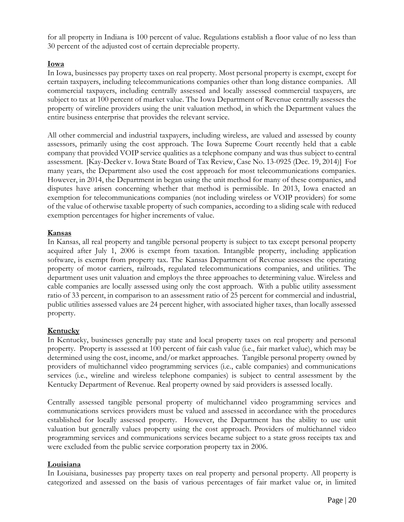for all property in Indiana is 100 percent of value. Regulations establish a floor value of no less than 30 percent of the adjusted cost of certain depreciable property.

#### **Iowa**

In Iowa, businesses pay property taxes on real property. Most personal property is exempt, except for certain taxpayers, including telecommunications companies other than long distance companies. All commercial taxpayers, including centrally assessed and locally assessed commercial taxpayers, are subject to tax at 100 percent of market value. The Iowa Department of Revenue centrally assesses the property of wireline providers using the unit valuation method, in which the Department values the entire business enterprise that provides the relevant service.

All other commercial and industrial taxpayers, including wireless, are valued and assessed by county assessors, primarily using the cost approach. The Iowa Supreme Court recently held that a cable company that provided VOIP service qualities as a telephone company and was thus subject to central assessment. [Kay-Decker v. Iowa State Board of Tax Review, Case No. 13-0925 (Dec. 19, 2014)] For many years, the Department also used the cost approach for most telecommunications companies. However, in 2014, the Department in began using the unit method for many of these companies, and disputes have arisen concerning whether that method is permissible. In 2013, Iowa enacted an exemption for telecommunications companies (not including wireless or VOIP providers) for some of the value of otherwise taxable property of such companies, according to a sliding scale with reduced exemption percentages for higher increments of value.

#### **Kansas**

In Kansas, all real property and tangible personal property is subject to tax except personal property acquired after July 1, 2006 is exempt from taxation. Intangible property, including application software, is exempt from property tax. The Kansas Department of Revenue assesses the operating property of motor carriers, railroads, regulated telecommunications companies, and utilities. The department uses unit valuation and employs the three approaches to determining value. Wireless and cable companies are locally assessed using only the cost approach. With a public utility assessment ratio of 33 percent, in comparison to an assessment ratio of 25 percent for commercial and industrial, public utilities assessed values are 24 percent higher, with associated higher taxes, than locally assessed property.

#### **Kentucky**

In Kentucky, businesses generally pay state and local property taxes on real property and personal property. Property is assessed at 100 percent of fair cash value (i.e., fair market value), which may be determined using the cost, income, and/or market approaches. Tangible personal property owned by providers of multichannel video programming services (i.e., cable companies) and communications services (i.e., wireline and wireless telephone companies) is subject to central assessment by the Kentucky Department of Revenue. Real property owned by said providers is assessed locally.

Centrally assessed tangible personal property of multichannel video programming services and communications services providers must be valued and assessed in accordance with the procedures established for locally assessed property. However, the Department has the ability to use unit valuation but generally values property using the cost approach. Providers of multichannel video programming services and communications services became subject to a state gross receipts tax and were excluded from the public service corporation property tax in 2006.

#### **Louisiana**

In Louisiana, businesses pay property taxes on real property and personal property. All property is categorized and assessed on the basis of various percentages of fair market value or, in limited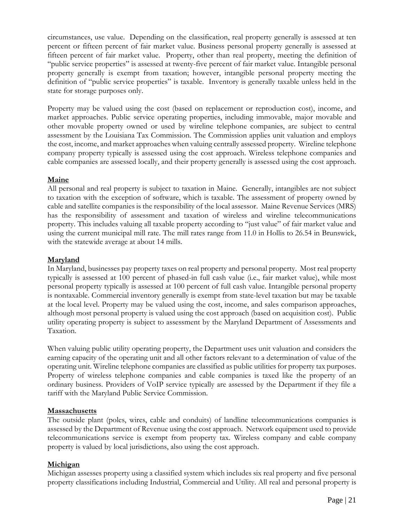circumstances, use value. Depending on the classification, real property generally is assessed at ten percent or fifteen percent of fair market value. Business personal property generally is assessed at fifteen percent of fair market value. Property, other than real property, meeting the definition of "public service properties" is assessed at twenty-five percent of fair market value. Intangible personal property generally is exempt from taxation; however, intangible personal property meeting the definition of "public service properties" is taxable. Inventory is generally taxable unless held in the state for storage purposes only.

Property may be valued using the cost (based on replacement or reproduction cost), income, and market approaches. Public service operating properties, including immovable, major movable and other movable property owned or used by wireline telephone companies, are subject to central assessment by the Louisiana Tax Commission. The Commission applies unit valuation and employs the cost, income, and market approaches when valuing centrally assessed property. Wireline telephone company property typically is assessed using the cost approach. Wireless telephone companies and cable companies are assessed locally, and their property generally is assessed using the cost approach.

#### **Maine**

All personal and real property is subject to taxation in Maine. Generally, intangibles are not subject to taxation with the exception of software, which is taxable. The assessment of property owned by cable and satellite companies is the responsibility of the local assessor. Maine Revenue Services (MRS) has the responsibility of assessment and taxation of wireless and wireline telecommunications property. This includes valuing all taxable property according to "just value" of fair market value and using the current municipal mill rate. The mill rates range from 11.0 in Hollis to 26.54 in Brunswick, with the statewide average at about 14 mills.

#### **Maryland**

In Maryland, businesses pay property taxes on real property and personal property. Most real property typically is assessed at 100 percent of phased-in full cash value (i.e., fair market value), while most personal property typically is assessed at 100 percent of full cash value. Intangible personal property is nontaxable. Commercial inventory generally is exempt from state-level taxation but may be taxable at the local level. Property may be valued using the cost, income, and sales comparison approaches, although most personal property is valued using the cost approach (based on acquisition cost). Public utility operating property is subject to assessment by the Maryland Department of Assessments and Taxation.

When valuing public utility operating property, the Department uses unit valuation and considers the earning capacity of the operating unit and all other factors relevant to a determination of value of the operating unit. Wireline telephone companies are classified as public utilities for property tax purposes. Property of wireless telephone companies and cable companies is taxed like the property of an ordinary business. Providers of VoIP service typically are assessed by the Department if they file a tariff with the Maryland Public Service Commission.

#### **Massachusetts**

The outside plant (poles, wires, cable and conduits) of landline telecommunications companies is assessed by the Department of Revenue using the cost approach. Network equipment used to provide telecommunications service is exempt from property tax. Wireless company and cable company property is valued by local jurisdictions, also using the cost approach.

#### **Michigan**

Michigan assesses property using a classified system which includes six real property and five personal property classifications including Industrial, Commercial and Utility. All real and personal property is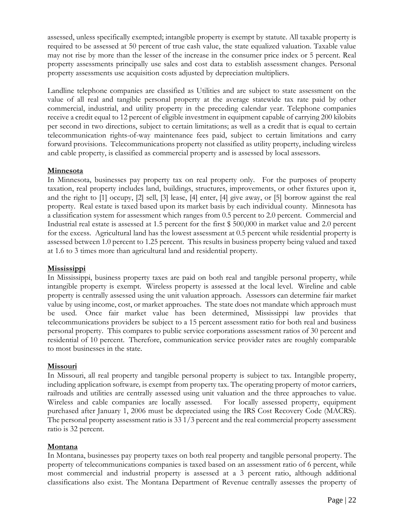assessed, unless specifically exempted; intangible property is exempt by statute. All taxable property is required to be assessed at 50 percent of true cash value, the state equalized valuation. Taxable value may not rise by more than the lesser of the increase in the consumer price index or 5 percent. Real property assessments principally use sales and cost data to establish assessment changes. Personal property assessments use acquisition costs adjusted by depreciation multipliers.

Landline telephone companies are classified as Utilities and are subject to state assessment on the value of all real and tangible personal property at the average statewide tax rate paid by other commercial, industrial, and utility property in the preceding calendar year. Telephone companies receive a credit equal to 12 percent of eligible investment in equipment capable of carrying 200 kilobits per second in two directions, subject to certain limitations; as well as a credit that is equal to certain telecommunication rights-of-way maintenance fees paid, subject to certain limitations and carry forward provisions. Telecommunications property not classified as utility property, including wireless and cable property, is classified as commercial property and is assessed by local assessors.

#### **Minnesota**

In Minnesota, businesses pay property tax on real property only. For the purposes of property taxation, real property includes land, buildings, structures, improvements, or other fixtures upon it, and the right to [1] occupy, [2] sell, [3] lease, [4] enter, [4] give away, or [5] borrow against the real property. Real estate is taxed based upon its market basis by each individual county. Minnesota has a classification system for assessment which ranges from 0.5 percent to 2.0 percent. Commercial and Industrial real estate is assessed at 1.5 percent for the first \$ 500,000 in market value and 2.0 percent for the excess. Agricultural land has the lowest assessment at 0.5 percent while residential property is assessed between 1.0 percent to 1.25 percent. This results in business property being valued and taxed at 1.6 to 3 times more than agricultural land and residential property.

#### **Mississippi**

In Mississippi, business property taxes are paid on both real and tangible personal property, while intangible property is exempt. Wireless property is assessed at the local level. Wireline and cable property is centrally assessed using the unit valuation approach. Assessors can determine fair market value by using income, cost, or market approaches. The state does not mandate which approach must be used. Once fair market value has been determined, Mississippi law provides that telecommunications providers be subject to a 15 percent assessment ratio for both real and business personal property. This compares to public service corporations assessment ratios of 30 percent and residential of 10 percent. Therefore, communication service provider rates are roughly comparable to most businesses in the state.

#### **Missouri**

In Missouri, all real property and tangible personal property is subject to tax. Intangible property, including application software*,* is exempt from property tax. The operating property of motor carriers, railroads and utilities are centrally assessed using unit valuation and the three approaches to value. Wireless and cable companies are locally assessed. For locally assessed property, equipment purchased after January 1, 2006 must be depreciated using the IRS Cost Recovery Code (MACRS). The personal property assessment ratio is 33 1/3 percent and the real commercial property assessment ratio is 32 percent.

#### **Montana**

In Montana, businesses pay property taxes on both real property and tangible personal property. The property of telecommunications companies is taxed based on an assessment ratio of 6 percent, while most commercial and industrial property is assessed at a 3 percent ratio, although additional classifications also exist. The Montana Department of Revenue centrally assesses the property of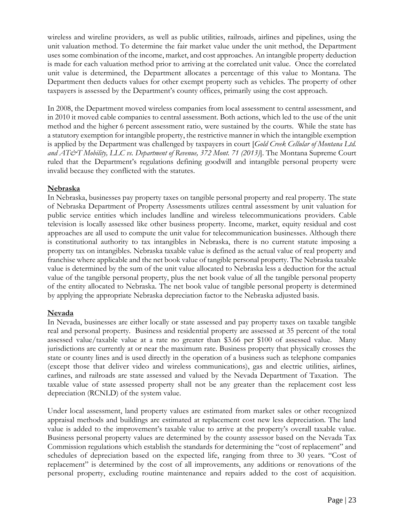wireless and wireline providers, as well as public utilities, railroads, airlines and pipelines, using the unit valuation method. To determine the fair market value under the unit method, the Department uses some combination of the income, market, and cost approaches. An intangible property deduction is made for each valuation method prior to arriving at the correlated unit value. Once the correlated unit value is determined, the Department allocates a percentage of this value to Montana. The Department then deducts values for other exempt property such as vehicles. The property of other taxpayers is assessed by the Department's county offices, primarily using the cost approach.

In 2008, the Department moved wireless companies from local assessment to central assessment, and in 2010 it moved cable companies to central assessment. Both actions, which led to the use of the unit method and the higher 6 percent assessment ratio, were sustained by the courts. While the state has a statutory exemption for intangible property, the restrictive manner in which the intangible exemption is applied by the Department was challenged by taxpayers in court [*Gold Creek Cellular of Montana Ltd. and AT&T Mobility, LLC vs. Department of Revenue, 372 Mont. 71 (2013)*]. The Montana Supreme Court ruled that the Department's regulations defining goodwill and intangible personal property were invalid because they conflicted with the statutes.

#### **Nebraska**

In Nebraska, businesses pay property taxes on tangible personal property and real property. The state of Nebraska Department of Property Assessments utilizes central assessment by unit valuation for public service entities which includes landline and wireless telecommunications providers. Cable television is locally assessed like other business property. Income, market, equity residual and cost approaches are all used to compute the unit value for telecommunication businesses. Although there is constitutional authority to tax intangibles in Nebraska, there is no current statute imposing a property tax on intangibles. Nebraska taxable value is defined as the actual value of real property and franchise where applicable and the net book value of tangible personal property. The Nebraska taxable value is determined by the sum of the unit value allocated to Nebraska less a deduction for the actual value of the tangible personal property, plus the net book value of all the tangible personal property of the entity allocated to Nebraska. The net book value of tangible personal property is determined by applying the appropriate Nebraska depreciation factor to the Nebraska adjusted basis.

#### **Nevada**

In Nevada, businesses are either locally or state assessed and pay property taxes on taxable tangible real and personal property. Business and residential property are assessed at 35 percent of the total assessed value/taxable value at a rate no greater than \$3.66 per \$100 of assessed value. Many jurisdictions are currently at or near the maximum rate. Business property that physically crosses the state or county lines and is used directly in the operation of a business such as telephone companies (except those that deliver video and wireless communications), gas and electric utilities, airlines, carlines, and railroads are state assessed and valued by the Nevada Department of Taxation. The taxable value of state assessed property shall not be any greater than the replacement cost less depreciation (RCNLD) of the system value.

Under local assessment, land property values are estimated from market sales or other recognized appraisal methods and buildings are estimated at replacement cost new less depreciation. The land value is added to the improvement's taxable value to arrive at the property's overall taxable value. Business personal property values are determined by the county assessor based on the Nevada Tax Commission regulations which establish the standards for determining the "cost of replacement" and schedules of depreciation based on the expected life, ranging from three to 30 years. "Cost of replacement" is determined by the cost of all improvements, any additions or renovations of the personal property, excluding routine maintenance and repairs added to the cost of acquisition.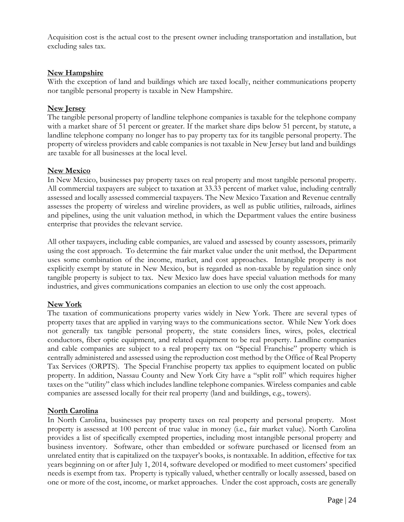Acquisition cost is the actual cost to the present owner including transportation and installation, but excluding sales tax.

#### **New Hampshire**

With the exception of land and buildings which are taxed locally, neither communications property nor tangible personal property is taxable in New Hampshire.

#### **New Jersey**

The tangible personal property of landline telephone companies is taxable for the telephone company with a market share of 51 percent or greater. If the market share dips below 51 percent, by statute, a landline telephone company no longer has to pay property tax for its tangible personal property. The property of wireless providers and cable companies is not taxable in New Jersey but land and buildings are taxable for all businesses at the local level.

#### **New Mexico**

In New Mexico, businesses pay property taxes on real property and most tangible personal property. All commercial taxpayers are subject to taxation at 33.33 percent of market value, including centrally assessed and locally assessed commercial taxpayers. The New Mexico Taxation and Revenue centrally assesses the property of wireless and wireline providers, as well as public utilities, railroads, airlines and pipelines, using the unit valuation method, in which the Department values the entire business enterprise that provides the relevant service.

All other taxpayers, including cable companies, are valued and assessed by county assessors, primarily using the cost approach. To determine the fair market value under the unit method, the Department uses some combination of the income, market, and cost approaches. Intangible property is not explicitly exempt by statute in New Mexico, but is regarded as non-taxable by regulation since only tangible property is subject to tax. New Mexico law does have special valuation methods for many industries, and gives communications companies an election to use only the cost approach.

#### **New York**

The taxation of communications property varies widely in New York. There are several types of property taxes that are applied in varying ways to the communications sector. While New York does not generally tax tangible personal property, the state considers lines, wires, poles, electrical conductors, fiber optic equipment, and related equipment to be real property. Landline companies and cable companies are subject to a real property tax on "Special Franchise" property which is centrally administered and assessed using the reproduction cost method by the Office of Real Property Tax Services (ORPTS). The Special Franchise property tax applies to equipment located on public property. In addition, Nassau County and New York City have a "split roll" which requires higher taxes on the "utility" class which includes landline telephone companies. Wireless companies and cable companies are assessed locally for their real property (land and buildings, e.g., towers).

#### **North Carolina**

In North Carolina, businesses pay property taxes on real property and personal property. Most property is assessed at 100 percent of true value in money (i.e., fair market value). North Carolina provides a list of specifically exempted properties, including most intangible personal property and business inventory. Software, other than embedded or software purchased or licensed from an unrelated entity that is capitalized on the taxpayer's books, is nontaxable. In addition, effective for tax years beginning on or after July 1, 2014, software developed or modified to meet customers' specified needs is exempt from tax. Property is typically valued, whether centrally or locally assessed, based on one or more of the cost, income, or market approaches. Under the cost approach, costs are generally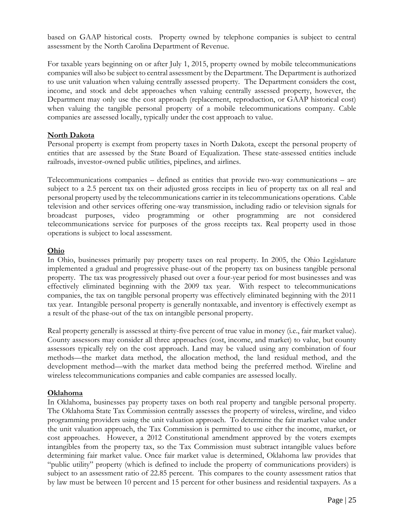based on GAAP historical costs. Property owned by telephone companies is subject to central assessment by the North Carolina Department of Revenue.

For taxable years beginning on or after July 1, 2015, property owned by mobile telecommunications companies will also be subject to central assessment by the Department. The Department is authorized to use unit valuation when valuing centrally assessed property. The Department considers the cost, income, and stock and debt approaches when valuing centrally assessed property, however, the Department may only use the cost approach (replacement, reproduction, or GAAP historical cost) when valuing the tangible personal property of a mobile telecommunications company. Cable companies are assessed locally, typically under the cost approach to value.

#### **North Dakota**

Personal property is exempt from property taxes in North Dakota, except the personal property of entities that are assessed by the State Board of Equalization. These state-assessed entities include railroads, investor-owned public utilities, pipelines, and airlines.

Telecommunications companies – defined as entities that provide two-way communications – are subject to a 2.5 percent tax on their adjusted gross receipts in lieu of property tax on all real and personal property used by the telecommunications carrier in its telecommunications operations. Cable television and other services offering one-way transmission, including radio or television signals for broadcast purposes, video programming or other programming are not considered telecommunications service for purposes of the gross receipts tax. Real property used in those operations is subject to local assessment.

#### **Ohio**

In Ohio, businesses primarily pay property taxes on real property. In 2005, the Ohio Legislature implemented a gradual and progressive phase-out of the property tax on business tangible personal property. The tax was progressively phased out over a four-year period for most businesses and was effectively eliminated beginning with the 2009 tax year. With respect to telecommunications companies, the tax on tangible personal property was effectively eliminated beginning with the 2011 tax year. Intangible personal property is generally nontaxable, and inventory is effectively exempt as a result of the phase-out of the tax on intangible personal property.

Real property generally is assessed at thirty-five percent of true value in money (i.e., fair market value). County assessors may consider all three approaches (cost, income, and market) to value, but county assessors typically rely on the cost approach. Land may be valued using any combination of four methods—the market data method, the allocation method, the land residual method, and the development method—with the market data method being the preferred method. Wireline and wireless telecommunications companies and cable companies are assessed locally.

#### **Oklahoma**

In Oklahoma, businesses pay property taxes on both real property and tangible personal property. The Oklahoma State Tax Commission centrally assesses the property of wireless, wireline, and video programming providers using the unit valuation approach. To determine the fair market value under the unit valuation approach, the Tax Commission is permitted to use either the income, market, or cost approaches. However, a 2012 Constitutional amendment approved by the voters exempts intangibles from the property tax, so the Tax Commission must subtract intangible values before determining fair market value. Once fair market value is determined, Oklahoma law provides that "public utility" property (which is defined to include the property of communications providers) is subject to an assessment ratio of 22.85 percent. This compares to the county assessment ratios that by law must be between 10 percent and 15 percent for other business and residential taxpayers. As a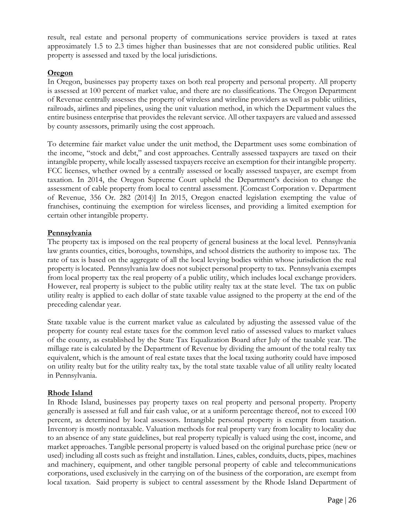result, real estate and personal property of communications service providers is taxed at rates approximately 1.5 to 2.3 times higher than businesses that are not considered public utilities. Real property is assessed and taxed by the local jurisdictions.

#### **Oregon**

In Oregon, businesses pay property taxes on both real property and personal property. All property is assessed at 100 percent of market value, and there are no classifications. The Oregon Department of Revenue centrally assesses the property of wireless and wireline providers as well as public utilities, railroads, airlines and pipelines, using the unit valuation method, in which the Department values the entire business enterprise that provides the relevant service. All other taxpayers are valued and assessed by county assessors, primarily using the cost approach.

To determine fair market value under the unit method, the Department uses some combination of the income, "stock and debt," and cost approaches. Centrally assessed taxpayers are taxed on their intangible property, while locally assessed taxpayers receive an exemption for their intangible property. FCC licenses, whether owned by a centrally assessed or locally assessed taxpayer, are exempt from taxation. In 2014, the Oregon Supreme Court upheld the Department's decision to change the assessment of cable property from local to central assessment. [Comcast Corporation v. Department of Revenue, 356 Or. 282 (2014)] In 2015, Oregon enacted legislation exempting the value of franchises, continuing the exemption for wireless licenses, and providing a limited exemption for certain other intangible property.

#### **Pennsylvania**

The property tax is imposed on the real property of general business at the local level. Pennsylvania law grants counties, cities, boroughs, townships, and school districts the authority to impose tax. The rate of tax is based on the aggregate of all the local levying bodies within whose jurisdiction the real property is located. Pennsylvania law does not subject personal property to tax. Pennsylvania exempts from local property tax the real property of a public utility, which includes local exchange providers. However, real property is subject to the public utility realty tax at the state level. The tax on public utility realty is applied to each dollar of state taxable value assigned to the property at the end of the preceding calendar year.

State taxable value is the current market value as calculated by adjusting the assessed value of the property for county real estate taxes for the common level ratio of assessed values to market values of the county, as established by the State Tax Equalization Board after July of the taxable year. The millage rate is calculated by the Department of Revenue by dividing the amount of the total realty tax equivalent, which is the amount of real estate taxes that the local taxing authority could have imposed on utility realty but for the utility realty tax, by the total state taxable value of all utility realty located in Pennsylvania.

#### **Rhode Island**

In Rhode Island, businesses pay property taxes on real property and personal property. Property generally is assessed at full and fair cash value, or at a uniform percentage thereof, not to exceed 100 percent, as determined by local assessors. Intangible personal property is exempt from taxation. Inventory is mostly nontaxable. Valuation methods for real property vary from locality to locality due to an absence of any state guidelines, but real property typically is valued using the cost, income, and market approaches. Tangible personal property is valued based on the original purchase price (new or used) including all costs such as freight and installation. Lines, cables, conduits, ducts, pipes, machines and machinery, equipment, and other tangible personal property of cable and telecommunications corporations, used exclusively in the carrying on of the business of the corporation, are exempt from local taxation. Said property is subject to central assessment by the Rhode Island Department of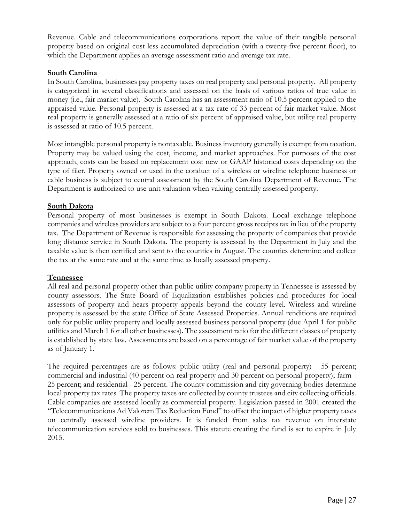Revenue. Cable and telecommunications corporations report the value of their tangible personal property based on original cost less accumulated depreciation (with a twenty-five percent floor), to which the Department applies an average assessment ratio and average tax rate.

#### **South Carolina**

In South Carolina, businesses pay property taxes on real property and personal property. All property is categorized in several classifications and assessed on the basis of various ratios of true value in money (i.e., fair market value). South Carolina has an assessment ratio of 10.5 percent applied to the appraised value. Personal property is assessed at a tax rate of 33 percent of fair market value. Most real property is generally assessed at a ratio of six percent of appraised value, but utility real property is assessed at ratio of 10.5 percent.

Most intangible personal property is nontaxable. Business inventory generally is exempt from taxation. Property may be valued using the cost, income, and market approaches. For purposes of the cost approach, costs can be based on replacement cost new or GAAP historical costs depending on the type of filer. Property owned or used in the conduct of a wireless or wireline telephone business or cable business is subject to central assessment by the South Carolina Department of Revenue. The Department is authorized to use unit valuation when valuing centrally assessed property.

#### **South Dakota**

Personal property of most businesses is exempt in South Dakota. Local exchange telephone companies and wireless providers are subject to a four percent gross receipts tax in lieu of the property tax. The Department of Revenue is responsible for assessing the property of companies that provide long distance service in South Dakota. The property is assessed by the Department in July and the taxable value is then certified and sent to the counties in August. The counties determine and collect the tax at the same rate and at the same time as locally assessed property.

#### **Tennessee**

All real and personal property other than public utility company property in Tennessee is assessed by county assessors. The State Board of Equalization establishes policies and procedures for local assessors of property and hears property appeals beyond the county level. Wireless and wireline property is assessed by the state Office of State Assessed Properties. Annual renditions are required only for public utility property and locally assessed business personal property (due April 1 for public utilities and March 1 for all other businesses). The assessment ratio for the different classes of property is established by state law. Assessments are based on a percentage of fair market value of the property as of January 1.

The required percentages are as follows: public utility (real and personal property) - 55 percent; commercial and industrial (40 percent on real property and 30 percent on personal property); farm - 25 percent; and residential - 25 percent. The county commission and city governing bodies determine local property tax rates. The property taxes are collected by county trustees and city collecting officials. Cable companies are assessed locally as commercial property. Legislation passed in 2001 created the "Telecommunications Ad Valorem Tax Reduction Fund" to offset the impact of higher property taxes on centrally assessed wireline providers. It is funded from sales tax revenue on interstate telecommunication services sold to businesses. This statute creating the fund is set to expire in July 2015.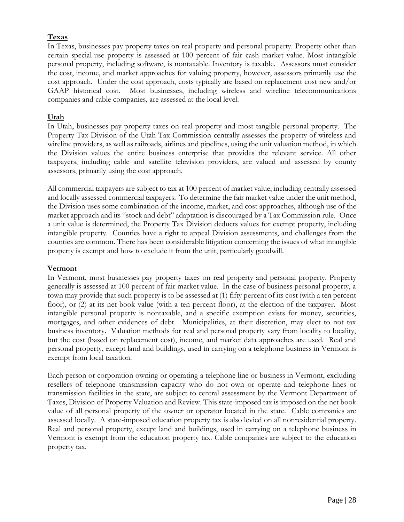#### **Texas**

In Texas, businesses pay property taxes on real property and personal property. Property other than certain special-use property is assessed at 100 percent of fair cash market value. Most intangible personal property, including software, is nontaxable. Inventory is taxable. Assessors must consider the cost, income, and market approaches for valuing property, however, assessors primarily use the cost approach. Under the cost approach, costs typically are based on replacement cost new and/or GAAP historical cost. Most businesses, including wireless and wireline telecommunications companies and cable companies, are assessed at the local level.

#### **Utah**

In Utah, businesses pay property taxes on real property and most tangible personal property. The Property Tax Division of the Utah Tax Commission centrally assesses the property of wireless and wireline providers, as well as railroads, airlines and pipelines, using the unit valuation method, in which the Division values the entire business enterprise that provides the relevant service. All other taxpayers, including cable and satellite television providers, are valued and assessed by county assessors, primarily using the cost approach.

All commercial taxpayers are subject to tax at 100 percent of market value, including centrally assessed and locally assessed commercial taxpayers. To determine the fair market value under the unit method, the Division uses some combination of the income, market, and cost approaches, although use of the market approach and its "stock and debt" adaptation is discouraged by a Tax Commission rule. Once a unit value is determined, the Property Tax Division deducts values for exempt property, including intangible property. Counties have a right to appeal Division assessments, and challenges from the counties are common. There has been considerable litigation concerning the issues of what intangible property is exempt and how to exclude it from the unit, particularly goodwill.

#### **Vermont**

In Vermont, most businesses pay property taxes on real property and personal property. Property generally is assessed at 100 percent of fair market value. In the case of business personal property, a town may provide that such property is to be assessed at (1) fifty percent of its cost (with a ten percent floor), or (2) at its net book value (with a ten percent floor), at the election of the taxpayer. Most intangible personal property is nontaxable, and a specific exemption exists for money, securities, mortgages, and other evidences of debt. Municipalities, at their discretion, may elect to not tax business inventory. Valuation methods for real and personal property vary from locality to locality, but the cost (based on replacement cost), income, and market data approaches are used. Real and personal property, except land and buildings, used in carrying on a telephone business in Vermont is exempt from local taxation.

Each person or corporation owning or operating a telephone line or business in Vermont, excluding resellers of telephone transmission capacity who do not own or operate and telephone lines or transmission facilities in the state, are subject to central assessment by the Vermont Department of Taxes, Division of Property Valuation and Review. This state-imposed tax is imposed on the net book value of all personal property of the owner or operator located in the state. Cable companies are assessed locally. A state-imposed education property tax is also levied on all nonresidential property. Real and personal property, except land and buildings, used in carrying on a telephone business in Vermont is exempt from the education property tax. Cable companies are subject to the education property tax.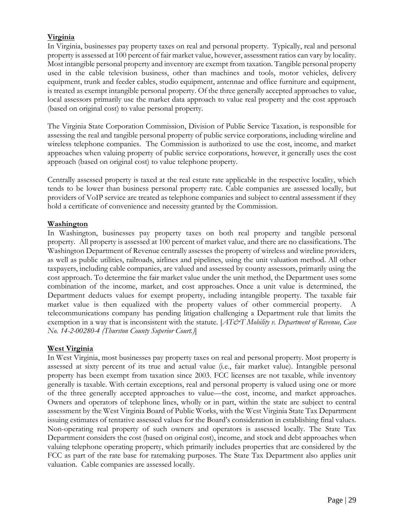#### **Virginia**

In Virginia, businesses pay property taxes on real and personal property. Typically, real and personal property is assessed at 100 percent of fair market value, however, assessment ratios can vary by locality. Most intangible personal property and inventory are exempt from taxation. Tangible personal property used in the cable television business, other than machines and tools, motor vehicles, delivery equipment, trunk and feeder cables, studio equipment, antennae and office furniture and equipment, is treated as exempt intangible personal property. Of the three generally accepted approaches to value, local assessors primarily use the market data approach to value real property and the cost approach (based on original cost) to value personal property.

The Virginia State Corporation Commission, Division of Public Service Taxation, is responsible for assessing the real and tangible personal property of public service corporations, including wireline and wireless telephone companies. The Commission is authorized to use the cost, income, and market approaches when valuing property of public service corporations, however, it generally uses the cost approach (based on original cost) to value telephone property.

Centrally assessed property is taxed at the real estate rate applicable in the respective locality, which tends to be lower than business personal property rate. Cable companies are assessed locally, but providers of VoIP service are treated as telephone companies and subject to central assessment if they hold a certificate of convenience and necessity granted by the Commission.

#### **Washington**

In Washington, businesses pay property taxes on both real property and tangible personal property. All property is assessed at 100 percent of market value, and there are no classifications. The Washington Department of Revenue centrally assesses the property of wireless and wireline providers, as well as public utilities, railroads, airlines and pipelines, using the unit valuation method. All other taxpayers, including cable companies, are valued and assessed by county assessors, primarily using the cost approach. To determine the fair market value under the unit method, the Department uses some combination of the income, market, and cost approaches. Once a unit value is determined, the Department deducts values for exempt property, including intangible property. The taxable fair market value is then equalized with the property values of other commercial property. A telecommunications company has pending litigation challenging a Department rule that limits the exemption in a way that is inconsistent with the statute. [*AT&T Mobility v. Department of Revenue, Case No. 14-2-00280-4 (Thurston County Superior Court.)*]

#### **West Virginia**

In West Virginia, most businesses pay property taxes on real and personal property. Most property is assessed at sixty percent of its true and actual value (i.e., fair market value). Intangible personal property has been exempt from taxation since 2003. FCC licenses are not taxable, while inventory generally is taxable. With certain exceptions, real and personal property is valued using one or more of the three generally accepted approaches to value—the cost, income, and market approaches. Owners and operators of telephone lines, wholly or in part, within the state are subject to central assessment by the West Virginia Board of Public Works, with the West Virginia State Tax Department issuing estimates of tentative assessed values for the Board's consideration in establishing final values. Non-operating real property of such owners and operators is assessed locally. The State Tax Department considers the cost (based on original cost), income, and stock and debt approaches when valuing telephone operating property, which primarily includes properties that are considered by the FCC as part of the rate base for ratemaking purposes. The State Tax Department also applies unit valuation. Cable companies are assessed locally.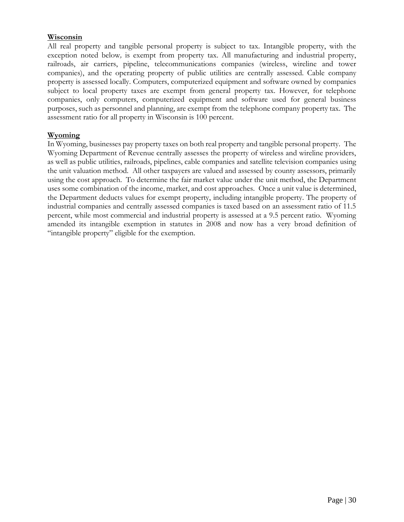#### **Wisconsin**

All real property and tangible personal property is subject to tax. Intangible property, with the exception noted below*,* is exempt from property tax. All manufacturing and industrial property, railroads, air carriers, pipeline, telecommunications companies (wireless, wireline and tower companies), and the operating property of public utilities are centrally assessed. Cable company property is assessed locally. Computers, computerized equipment and software owned by companies subject to local property taxes are exempt from general property tax. However, for telephone companies, only computers, computerized equipment and software used for general business purposes, such as personnel and planning, are exempt from the telephone company property tax. The assessment ratio for all property in Wisconsin is 100 percent.

#### **Wyoming**

In Wyoming, businesses pay property taxes on both real property and tangible personal property. The Wyoming Department of Revenue centrally assesses the property of wireless and wireline providers, as well as public utilities, railroads, pipelines, cable companies and satellite television companies using the unit valuation method. All other taxpayers are valued and assessed by county assessors, primarily using the cost approach. To determine the fair market value under the unit method, the Department uses some combination of the income, market, and cost approaches. Once a unit value is determined, the Department deducts values for exempt property, including intangible property. The property of industrial companies and centrally assessed companies is taxed based on an assessment ratio of 11.5 percent, while most commercial and industrial property is assessed at a 9.5 percent ratio. Wyoming amended its intangible exemption in statutes in 2008 and now has a very broad definition of "intangible property" eligible for the exemption.